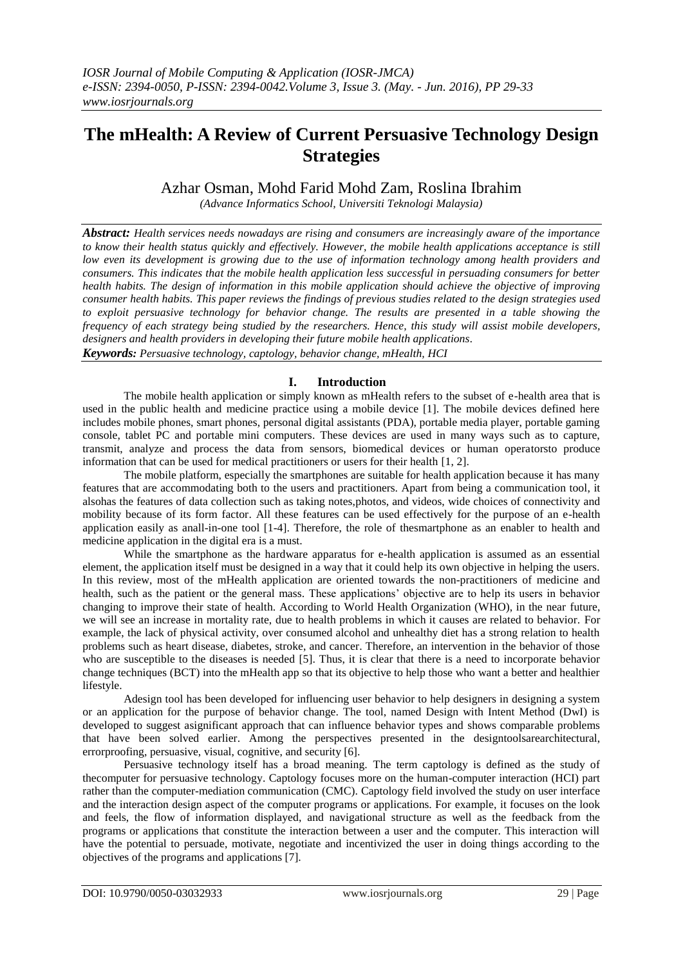# **The mHealth: A Review of Current Persuasive Technology Design Strategies**

Azhar Osman, Mohd Farid Mohd Zam, Roslina Ibrahim

*(Advance Informatics School, Universiti Teknologi Malaysia)*

*Abstract: Health services needs nowadays are rising and consumers are increasingly aware of the importance to know their health status quickly and effectively. However, the mobile health applications acceptance is still low even its development is growing due to the use of information technology among health providers and consumers. This indicates that the mobile health application less successful in persuading consumers for better health habits. The design of information in this mobile application should achieve the objective of improving consumer health habits. This paper reviews the findings of previous studies related to the design strategies used to exploit persuasive technology for behavior change. The results are presented in a table showing the frequency of each strategy being studied by the researchers. Hence, this study will assist mobile developers, designers and health providers in developing their future mobile health applications.* 

*Keywords: Persuasive technology, captology, behavior change, mHealth, HCI*

## **I. Introduction**

The mobile health application or simply known as mHealth refers to the subset of e-health area that is used in the public health and medicine practice using a mobile device [1]. The mobile devices defined here includes mobile phones, smart phones, personal digital assistants (PDA), portable media player, portable gaming console, tablet PC and portable mini computers. These devices are used in many ways such as to capture, transmit, analyze and process the data from sensors, biomedical devices or human operatorsto produce information that can be used for medical practitioners or users for their health [1, 2].

The mobile platform, especially the smartphones are suitable for health application because it has many features that are accommodating both to the users and practitioners. Apart from being a communication tool, it alsohas the features of data collection such as taking notes,photos, and videos, wide choices of connectivity and mobility because of its form factor. All these features can be used effectively for the purpose of an e-health application easily as anall-in-one tool [1-4]. Therefore, the role of thesmartphone as an enabler to health and medicine application in the digital era is a must.

While the smartphone as the hardware apparatus for e-health application is assumed as an essential element, the application itself must be designed in a way that it could help its own objective in helping the users. In this review, most of the mHealth application are oriented towards the non-practitioners of medicine and health, such as the patient or the general mass. These applications' objective are to help its users in behavior changing to improve their state of health. According to World Health Organization (WHO), in the near future, we will see an increase in mortality rate, due to health problems in which it causes are related to behavior. For example, the lack of physical activity, over consumed alcohol and unhealthy diet has a strong relation to health problems such as heart disease, diabetes, stroke, and cancer. Therefore, an intervention in the behavior of those who are susceptible to the diseases is needed [5]. Thus, it is clear that there is a need to incorporate behavior change techniques (BCT) into the mHealth app so that its objective to help those who want a better and healthier lifestyle.

Adesign tool has been developed for influencing user behavior to help designers in designing a system or an application for the purpose of behavior change. The tool, named Design with Intent Method (DwI) is developed to suggest asignificant approach that can influence behavior types and shows comparable problems that have been solved earlier. Among the perspectives presented in the designtoolsarearchitectural, errorproofing, persuasive, visual, cognitive, and security [6].

Persuasive technology itself has a broad meaning. The term captology is defined as the study of thecomputer for persuasive technology. Captology focuses more on the human-computer interaction (HCI) part rather than the computer-mediation communication (CMC). Captology field involved the study on user interface and the interaction design aspect of the computer programs or applications. For example, it focuses on the look and feels, the flow of information displayed, and navigational structure as well as the feedback from the programs or applications that constitute the interaction between a user and the computer. This interaction will have the potential to persuade, motivate, negotiate and incentivized the user in doing things according to the objectives of the programs and applications [7].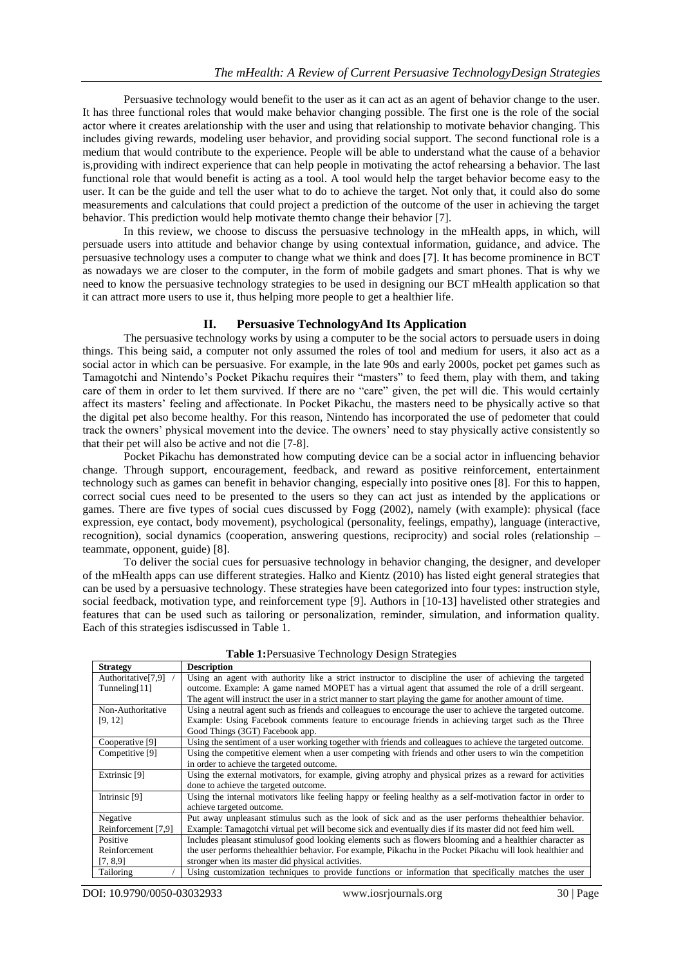Persuasive technology would benefit to the user as it can act as an agent of behavior change to the user. It has three functional roles that would make behavior changing possible. The first one is the role of the social actor where it creates arelationship with the user and using that relationship to motivate behavior changing. This includes giving rewards, modeling user behavior, and providing social support. The second functional role is a medium that would contribute to the experience. People will be able to understand what the cause of a behavior is,providing with indirect experience that can help people in motivating the actof rehearsing a behavior. The last functional role that would benefit is acting as a tool. A tool would help the target behavior become easy to the user. It can be the guide and tell the user what to do to achieve the target. Not only that, it could also do some measurements and calculations that could project a prediction of the outcome of the user in achieving the target behavior. This prediction would help motivate themto change their behavior [7].

In this review, we choose to discuss the persuasive technology in the mHealth apps, in which, will persuade users into attitude and behavior change by using contextual information, guidance, and advice. The persuasive technology uses a computer to change what we think and does [7]. It has become prominence in BCT as nowadays we are closer to the computer, in the form of mobile gadgets and smart phones. That is why we need to know the persuasive technology strategies to be used in designing our BCT mHealth application so that it can attract more users to use it, thus helping more people to get a healthier life.

#### **II. Persuasive TechnologyAnd Its Application**

The persuasive technology works by using a computer to be the social actors to persuade users in doing things. This being said, a computer not only assumed the roles of tool and medium for users, it also act as a social actor in which can be persuasive. For example, in the late 90s and early 2000s, pocket pet games such as Tamagotchi and Nintendo's Pocket Pikachu requires their "masters" to feed them, play with them, and taking care of them in order to let them survived. If there are no "care" given, the pet will die. This would certainly affect its masters' feeling and affectionate. In Pocket Pikachu, the masters need to be physically active so that the digital pet also become healthy. For this reason, Nintendo has incorporated the use of pedometer that could track the owners' physical movement into the device. The owners' need to stay physically active consistently so that their pet will also be active and not die [7-8].

Pocket Pikachu has demonstrated how computing device can be a social actor in influencing behavior change. Through support, encouragement, feedback, and reward as positive reinforcement, entertainment technology such as games can benefit in behavior changing, especially into positive ones [8]. For this to happen, correct social cues need to be presented to the users so they can act just as intended by the applications or games. There are five types of social cues discussed by Fogg (2002), namely (with example): physical (face expression, eye contact, body movement), psychological (personality, feelings, empathy), language (interactive, recognition), social dynamics (cooperation, answering questions, reciprocity) and social roles (relationship – teammate, opponent, guide) [8].

To deliver the social cues for persuasive technology in behavior changing, the designer, and developer of the mHealth apps can use different strategies. Halko and Kientz (2010) has listed eight general strategies that can be used by a persuasive technology. These strategies have been categorized into four types: instruction style, social feedback, motivation type, and reinforcement type [9]. Authors in [10-13] havelisted other strategies and features that can be used such as tailoring or personalization, reminder, simulation, and information quality. Each of this strategies isdiscussed in Table 1.

| <b>Strategy</b>                | <b>Description</b>                                                                                          |  |  |  |  |  |  |
|--------------------------------|-------------------------------------------------------------------------------------------------------------|--|--|--|--|--|--|
| Authoritative <sup>[7,9]</sup> | Using an agent with authority like a strict instructor to discipline the user of achieving the targeted     |  |  |  |  |  |  |
| Tunneling[11]                  | outcome. Example: A game named MOPET has a virtual agent that assumed the role of a drill sergeant.         |  |  |  |  |  |  |
|                                | The agent will instruct the user in a strict manner to start playing the game for another amount of time.   |  |  |  |  |  |  |
| Non-Authoritative              | Using a neutral agent such as friends and colleagues to encourage the user to achieve the targeted outcome. |  |  |  |  |  |  |
| [9, 12]                        | Example: Using Facebook comments feature to encourage friends in achieving target such as the Three         |  |  |  |  |  |  |
|                                | Good Things (3GT) Facebook app.                                                                             |  |  |  |  |  |  |
| Cooperative [9]                | Using the sentiment of a user working together with friends and colleagues to achieve the targeted outcome. |  |  |  |  |  |  |
| Competitive [9]                | Using the competitive element when a user competing with friends and other users to win the competition     |  |  |  |  |  |  |
|                                | in order to achieve the targeted outcome.                                                                   |  |  |  |  |  |  |
| Extrinsic [9]                  | Using the external motivators, for example, giving atrophy and physical prizes as a reward for activities   |  |  |  |  |  |  |
|                                | done to achieve the targeted outcome.                                                                       |  |  |  |  |  |  |
| Intrinsic [9]                  | Using the internal motivators like feeling happy or feeling healthy as a self-motivation factor in order to |  |  |  |  |  |  |
|                                | achieve targeted outcome.                                                                                   |  |  |  |  |  |  |
| Negative                       | Put away unpleasant stimulus such as the look of sick and as the user performs the healthier behavior.      |  |  |  |  |  |  |
| Reinforcement [7,9]            | Example: Tamagotchi virtual pet will become sick and eventually dies if its master did not feed him well.   |  |  |  |  |  |  |
| Positive                       | Includes pleasant stimulus of good looking elements such as flowers blooming and a healthier character as   |  |  |  |  |  |  |
| Reinforcement                  | the user performs thehealthier behavior. For example, Pikachu in the Pocket Pikachu will look healthier and |  |  |  |  |  |  |
| [7, 8, 9]                      | stronger when its master did physical activities.                                                           |  |  |  |  |  |  |
| Tailoring                      | Using customization techniques to provide functions or information that specifically matches the user       |  |  |  |  |  |  |

**Table 1:**Persuasive Technology Design Strategies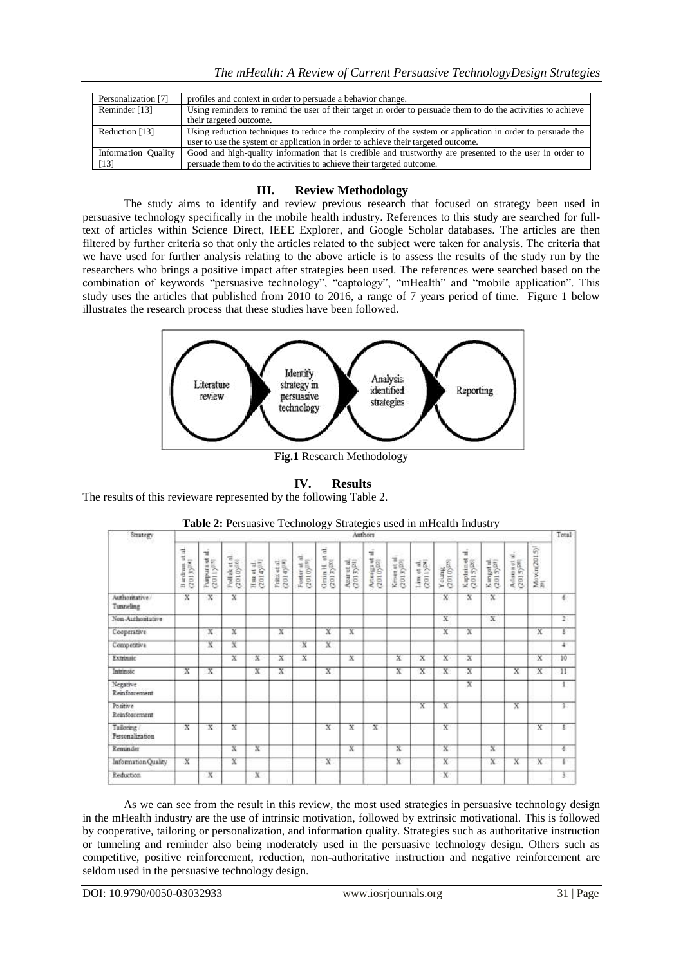| Personalization [7] | profiles and context in order to persuade a behavior change.                                                 |  |  |  |  |  |  |
|---------------------|--------------------------------------------------------------------------------------------------------------|--|--|--|--|--|--|
| Reminder [13]       | Using reminders to remind the user of their target in order to persuade them to do the activities to achieve |  |  |  |  |  |  |
|                     | their targeted outcome.                                                                                      |  |  |  |  |  |  |
| Reduction [13]      | Using reduction techniques to reduce the complexity of the system or application in order to persuade the    |  |  |  |  |  |  |
|                     | user to use the system or application in order to achieve their targeted outcome.                            |  |  |  |  |  |  |
| Information Quality | Good and high-quality information that is credible and trustworthy are presented to the user in order to     |  |  |  |  |  |  |
| $[13]$              | persuade them to do the activities to achieve their targeted outcome.                                        |  |  |  |  |  |  |

# **III. Review Methodology**

The study aims to identify and review previous research that focused on strategy been used in persuasive technology specifically in the mobile health industry. References to this study are searched for fulltext of articles within Science Direct, IEEE Explorer, and Google Scholar databases. The articles are then filtered by further criteria so that only the articles related to the subject were taken for analysis. The criteria that we have used for further analysis relating to the above article is to assess the results of the study run by the researchers who brings a positive impact after strategies been used. The references were searched based on the combination of keywords "persuasive technology", "captology", "mHealth" and "mobile application". This study uses the articles that published from 2010 to 2016, a range of 7 years period of time. Figure 1 below illustrates the research process that these studies have been followed.



**Fig.1** Research Methodology

# **IV. Results**

The results of this revieware represented by the following Table 2.

| Strategy                     | ິ<br>c<br>Authors            |                                           |                                         |                              |                                 |                                             |                                           |                                       |                                 |                                        |                                                     |                         |                                                                                    |                                       | Total                                  |                         |                |
|------------------------------|------------------------------|-------------------------------------------|-----------------------------------------|------------------------------|---------------------------------|---------------------------------------------|-------------------------------------------|---------------------------------------|---------------------------------|----------------------------------------|-----------------------------------------------------|-------------------------|------------------------------------------------------------------------------------|---------------------------------------|----------------------------------------|-------------------------|----------------|
|                              | Bardram et al.<br>Lyrick 100 | Purpura et al.,<br>(2011) <sup>[13]</sup> | Pollak et al.<br>(2010) <sup>(16)</sup> | Haz et al.<br>$(2014)^{131}$ | Fritz et al.<br>$(2014)/^{183}$ | $\frac{\text{Foster at all}}{(2010)^{319}}$ | Grain H. et al.<br>(2013) <sup>2001</sup> | Awar et al.<br>(2013) <sup>[21]</sup> | Artenga ut al., $(2010)^{[22]}$ | Krosa st al.<br>(2013) <sup>[20]</sup> | $\frac{1 \text{dim of } \text{all.}}{(2011) [281]}$ | $\frac{Y}{(2010)^{22}}$ | $\begin{array}{l} \text{Kapletin et al.}\\ \text{G01-5)}^{\text{DD1}} \end{array}$ | Kanget al.<br>(2015) <sup>221</sup> 1 | Adams at al.<br>(2015) <sup>[88]</sup> | Movin(2015)             |                |
| Authoritative/<br>Tunneling  | $\overline{x}$<br>w          | $\overline{x}$<br>m                       | X                                       |                              |                                 |                                             |                                           |                                       |                                 |                                        |                                                     | $\mathbf{x}$            | x                                                                                  | x<br>. .                              |                                        |                         | 6              |
| Non-Authoritative            |                              |                                           |                                         |                              |                                 |                                             |                                           |                                       |                                 |                                        |                                                     | $\overline{\mathbf{x}}$ |                                                                                    | $\overline{\mathbf{x}}$               |                                        |                         | $\mathbb{Z}$   |
| Cooperative                  |                              | X                                         | X                                       |                              | X                               |                                             | X                                         | $\overline{\textbf{x}}$               |                                 |                                        |                                                     | X                       | Х                                                                                  |                                       |                                        | $\overline{\mathbf{x}}$ | ï              |
| Competitiva                  |                              | X                                         | Χ                                       |                              |                                 | $\overline{\mathbf{x}}$                     | $\overline{\mathbf{x}}$                   |                                       |                                 |                                        |                                                     |                         |                                                                                    |                                       |                                        |                         | Ŧ              |
| Extrinate                    |                              |                                           | $\overline{\mathbf{x}}$                 | x                            | X                               | $\overline{\mathbf{x}}$                     |                                           | $\overline{\mathbf{x}}$               |                                 | x                                      | X                                                   | $\overline{\mathbf{x}}$ | $\overline{x}$                                                                     |                                       |                                        | $\overline{\mathbf{x}}$ | 10             |
| Intrinsic                    | $_{\rm X}$                   | $\mathbf{x}$                              |                                         | X                            | $\overline{X}$                  |                                             | X                                         |                                       |                                 | x                                      | X                                                   | X.                      | x                                                                                  |                                       | X                                      | x                       | $_{11}$        |
| Negative<br>Reinforcement    |                              |                                           |                                         |                              |                                 |                                             |                                           |                                       |                                 |                                        |                                                     |                         | x                                                                                  |                                       |                                        |                         | $\mathbf{1}$   |
| Positive<br>Reinforcement    |                              |                                           |                                         |                              |                                 |                                             |                                           |                                       |                                 |                                        | $\overline{\mathbf{x}}$                             | $\overline{X}$          |                                                                                    |                                       | $\overline{\mathbf{x}}$                |                         | $\overline{3}$ |
| Tailoring<br>Personalization | $\overline{\mathbf{x}}$      | $\overline{\mathbf{x}}$                   | $\overline{\mathbf{x}}$                 |                              |                                 |                                             | $\overline{X}$                            | $\overline{\mathbf{x}}$               | $\mathbf{x}$                    |                                        |                                                     | X                       |                                                                                    |                                       |                                        | $\overline{\mathbf{x}}$ | g              |
| Reminder                     |                              |                                           | X                                       | Χ                            |                                 |                                             |                                           | X                                     |                                 | Χ                                      |                                                     | Х                       |                                                                                    | Χ                                     |                                        |                         | 76             |
| Information Quality          | $\overline{\mathbf{x}}$      |                                           | $\overline{x}$                          |                              |                                 |                                             | $\overline{x}$                            |                                       |                                 | $\overline{x}$                         |                                                     | $\overline{\mathbf{x}}$ |                                                                                    | $\overline{x}$                        | $\overline{\mathbf{x}}$                | $\overline{\mathbf{x}}$ | Ţ              |
| Reduction.                   |                              | $\overline{\mathbf{x}}$                   |                                         | $\overline{x}$               |                                 |                                             |                                           |                                       |                                 |                                        |                                                     | $\mathbf{x}$            |                                                                                    |                                       |                                        |                         | $\frac{1}{2}$  |

| Table 2: Persuasive Technology Strategies used in mHealth Industry |  |  |
|--------------------------------------------------------------------|--|--|
|                                                                    |  |  |

As we can see from the result in this review, the most used strategies in persuasive technology design in the mHealth industry are the use of intrinsic motivation, followed by extrinsic motivational. This is followed by cooperative, tailoring or personalization, and information quality. Strategies such as authoritative instruction or tunneling and reminder also being moderately used in the persuasive technology design. Others such as competitive, positive reinforcement, reduction, non-authoritative instruction and negative reinforcement are seldom used in the persuasive technology design.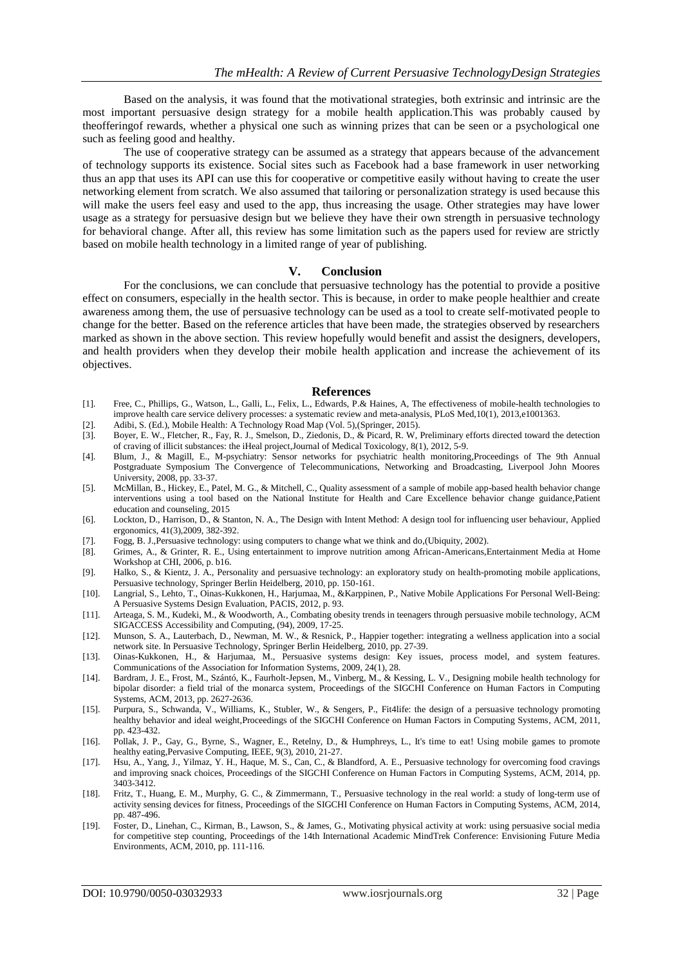Based on the analysis, it was found that the motivational strategies, both extrinsic and intrinsic are the most important persuasive design strategy for a mobile health application.This was probably caused by theofferingof rewards, whether a physical one such as winning prizes that can be seen or a psychological one such as feeling good and healthy.

The use of cooperative strategy can be assumed as a strategy that appears because of the advancement of technology supports its existence. Social sites such as Facebook had a base framework in user networking thus an app that uses its API can use this for cooperative or competitive easily without having to create the user networking element from scratch. We also assumed that tailoring or personalization strategy is used because this will make the users feel easy and used to the app, thus increasing the usage. Other strategies may have lower usage as a strategy for persuasive design but we believe they have their own strength in persuasive technology for behavioral change. After all, this review has some limitation such as the papers used for review are strictly based on mobile health technology in a limited range of year of publishing.

### **V. Conclusion**

For the conclusions, we can conclude that persuasive technology has the potential to provide a positive effect on consumers, especially in the health sector. This is because, in order to make people healthier and create awareness among them, the use of persuasive technology can be used as a tool to create self-motivated people to change for the better. Based on the reference articles that have been made, the strategies observed by researchers marked as shown in the above section. This review hopefully would benefit and assist the designers, developers, and health providers when they develop their mobile health application and increase the achievement of its objectives.

#### **References**

- [1]. Free, C., Phillips, G., Watson, L., Galli, L., Felix, L., Edwards, P.& Haines, A, The effectiveness of mobile-health technologies to improve health care service delivery processes: a systematic review and meta-analysis, PLoS Med,10(1), 2013,e1001363.
- [2]. Adibi, S. (Ed.), Mobile Health: A Technology Road Map (Vol. 5),(Springer, 2015).
- [3]. Boyer, E. W., Fletcher, R., Fay, R. J., Smelson, D., Ziedonis, D., & Picard, R. W, Preliminary efforts directed toward the detection of craving of illicit substances: the iHeal project,Journal of Medical Toxicology, 8(1), 2012, 5-9.
- [4]. Blum, J., & Magill, E., M-psychiatry: Sensor networks for psychiatric health monitoring,Proceedings of The 9th Annual Postgraduate Symposium The Convergence of Telecommunications, Networking and Broadcasting, Liverpool John Moores University, 2008, pp. 33-37.
- [5]. McMillan, B., Hickey, E., Patel, M. G., & Mitchell, C., Quality assessment of a sample of mobile app-based health behavior change interventions using a tool based on the National Institute for Health and Care Excellence behavior change guidance,Patient education and counseling, 2015
- [6]. Lockton, D., Harrison, D., & Stanton, N. A., The Design with Intent Method: A design tool for influencing user behaviour, Applied ergonomics, 41(3),2009, 382-392.
- [7]. Fogg, B. J.,Persuasive technology: using computers to change what we think and do,(Ubiquity, 2002).
- [8]. Grimes, A., & Grinter, R. E., Using entertainment to improve nutrition among African-Americans,Entertainment Media at Home Workshop at CHI, 2006, p. b16.
- [9]. Halko, S., & Kientz, J. A., Personality and persuasive technology: an exploratory study on health-promoting mobile applications, Persuasive technology, Springer Berlin Heidelberg, 2010, pp. 150-161.
- [10]. Langrial, S., Lehto, T., Oinas-Kukkonen, H., Harjumaa, M., &Karppinen, P., Native Mobile Applications For Personal Well-Being: A Persuasive Systems Design Evaluation, PACIS, 2012, p. 93.
- [11]. Arteaga, S. M., Kudeki, M., & Woodworth, A., Combating obesity trends in teenagers through persuasive mobile technology, ACM SIGACCESS Accessibility and Computing, (94), 2009, 17-25.
- [12]. Munson, S. A., Lauterbach, D., Newman, M. W., & Resnick, P., Happier together: integrating a wellness application into a social network site. In Persuasive Technology, Springer Berlin Heidelberg, 2010, pp. 27-39.
- [13]. Oinas-Kukkonen, H., & Harjumaa, M., Persuasive systems design: Key issues, process model, and system features. Communications of the Association for Information Systems, 2009, 24(1), 28.
- [14]. Bardram, J. E., Frost, M., Szántó, K., Faurholt-Jepsen, M., Vinberg, M., & Kessing, L. V., Designing mobile health technology for bipolar disorder: a field trial of the monarca system, Proceedings of the SIGCHI Conference on Human Factors in Computing Systems, ACM, 2013, pp. 2627-2636.
- [15]. Purpura, S., Schwanda, V., Williams, K., Stubler, W., & Sengers, P., Fit4life: the design of a persuasive technology promoting healthy behavior and ideal weight,Proceedings of the SIGCHI Conference on Human Factors in Computing Systems, ACM, 2011, pp. 423-432.
- [16]. Pollak, J. P., Gay, G., Byrne, S., Wagner, E., Retelny, D., & Humphreys, L., It's time to eat! Using mobile games to promote healthy eating,Pervasive Computing, IEEE, 9(3), 2010, 21-27.
- [17]. Hsu, A., Yang, J., Yilmaz, Y. H., Haque, M. S., Can, C., & Blandford, A. E., Persuasive technology for overcoming food cravings and improving snack choices, Proceedings of the SIGCHI Conference on Human Factors in Computing Systems, ACM, 2014, pp. 3403-3412.
- [18]. Fritz, T., Huang, E. M., Murphy, G. C., & Zimmermann, T., Persuasive technology in the real world: a study of long-term use of activity sensing devices for fitness, Proceedings of the SIGCHI Conference on Human Factors in Computing Systems, ACM, 2014, pp. 487-496.
- [19]. Foster, D., Linehan, C., Kirman, B., Lawson, S., & James, G., Motivating physical activity at work: using persuasive social media for competitive step counting, Proceedings of the 14th International Academic MindTrek Conference: Envisioning Future Media Environments, ACM, 2010, pp. 111-116.